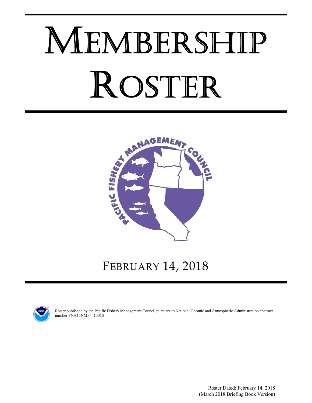# MEMBERSHIP ROSTER



# FEBRUARY 14, 2018



Roster published by the Pacific Fishery Management Council pursuant to National Oceanic and Atmospheric Administration contract number FNA15NMF4410016

> Roster Dated: February 14, 2018 (March 2018 Briefing Book Version)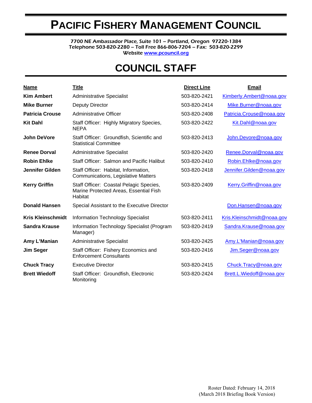# **PACIFIC FISHERY MANAGEMENT COUNCIL**

7700 NE Ambassador Place, Suite 101 – Portland, Oregon 97220-1384 Telephone 503-820-2280 – Toll Free 866-806-7204 – Fax: 503-820-2299 Website www.pcouncil.org

# **COUNCIL STAFF**

| <b>Name</b>              | <b>Title</b>                                                                                 | <b>Direct Line</b> | <b>Email</b>               |
|--------------------------|----------------------------------------------------------------------------------------------|--------------------|----------------------------|
| <b>Kim Ambert</b>        | <b>Administrative Specialist</b>                                                             | 503-820-2421       | Kimberly.Ambert@noaa.gov   |
| <b>Mike Burner</b>       | Deputy Director                                                                              | 503-820-2414       | Mike.Burner@noaa.gov       |
| <b>Patricia Crouse</b>   | <b>Administrative Officer</b>                                                                | 503-820-2408       | Patricia.Crouse@noaa.gov   |
| <b>Kit Dahl</b>          | Staff Officer: Highly Migratory Species,<br><b>NEPA</b>                                      | 503-820-2422       | Kit.Dahl@noaa.gov          |
| <b>John DeVore</b>       | Staff Officer: Groundfish, Scientific and<br><b>Statistical Committee</b>                    | 503-820-2413       | John.Devore@noaa.gov       |
| <b>Renee Dorval</b>      | <b>Administrative Specialist</b>                                                             | 503-820-2420       | Renee.Dorval@noaa.gov      |
| <b>Robin Ehlke</b>       | Staff Officer: Salmon and Pacific Halibut                                                    | 503-820-2410       | Robin.Ehlke@noaa.gov       |
| <b>Jennifer Gilden</b>   | Staff Officer: Habitat, Information,<br>Communications, Legislative Matters                  | 503-820-2418       | Jennifer.Gilden@noaa.gov   |
| <b>Kerry Griffin</b>     | Staff Officer: Coastal Pelagic Species,<br>Marine Protected Areas, Essential Fish<br>Habitat | 503-820-2409       | Kerry.Griffin@noaa.gov     |
| <b>Donald Hansen</b>     | Special Assistant to the Executive Director                                                  |                    | Don.Hansen@noaa.gov        |
| <b>Kris Kleinschmidt</b> | <b>Information Technology Specialist</b>                                                     | 503-820-2411       | Kris.Kleinschmidt@noaa.gov |
| <b>Sandra Krause</b>     | Information Technology Specialist (Program<br>Manager)                                       | 503-820-2419       | Sandra.Krause@noaa.gov     |
| Amy L'Manian             | <b>Administrative Specialist</b>                                                             | 503-820-2425       | Amy.L'Manian@noaa.gov      |
| <b>Jim Seger</b>         | Staff Officer: Fishery Economics and<br><b>Enforcement Consultants</b>                       | 503-820-2416       | Jim.Seger@noaa.gov         |
| <b>Chuck Tracy</b>       | <b>Executive Director</b>                                                                    | 503-820-2415       | Chuck.Tracy@noaa.gov       |
| <b>Brett Wiedoff</b>     | Staff Officer: Groundfish, Electronic<br>Monitoring                                          | 503-820-2424       | Brett.L.Wiedoff@noaa.gov   |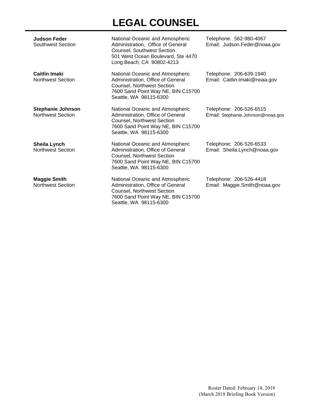# **LEGAL COUNSEL**

| <b>Judson Feder</b><br>Southwest Section             | National Oceanic and Atmospheric<br>Administration, Office of General<br>Counsel, Southwest Section<br>501 West Ocean Boulevard, Ste 4470<br>Long Beach, CA 90802-4213     | Telephone: 562-980-4067<br>Email: Judson.Feder@noaa.gov      |
|------------------------------------------------------|----------------------------------------------------------------------------------------------------------------------------------------------------------------------------|--------------------------------------------------------------|
| <b>Caitlin Imaki</b><br><b>Northwest Section</b>     | National Oceanic and Atmospheric<br>Administration, Office of General<br><b>Counsel, Northwest Section</b><br>7600 Sand Point Way NE, BIN C15700<br>Seattle, WA 98115-6300 | Telephone: 206-639-1940<br>Email: Caitlin.Imaki@noaa.gov     |
| <b>Stephanie Johnson</b><br><b>Northwest Section</b> | National Oceanic and Atmospheric<br>Administration, Office of General<br>Counsel, Northwest Section<br>7600 Sand Point Way NE, BIN C15700<br>Seattle, WA 98115-6300        | Telephone: 206-526-6515<br>Email: Stephanie.Johnson@noaa.gov |
| Sheila Lynch<br><b>Northwest Section</b>             | National Oceanic and Atmospheric<br>Administration, Office of General<br>Counsel, Northwest Section<br>7600 Sand Point Way NE, BIN C15700<br>Seattle, WA 98115-6300        | Telephone: 206-526-6533<br>Email: Sheila.Lynch@noaa.gov      |
| <b>Maggie Smith</b><br><b>Northwest Section</b>      | National Oceanic and Atmospheric<br>Administration, Office of General<br>Counsel, Northwest Section<br>7600 Sand Point Way NE, BIN C15700<br>Seattle, WA 98115-6300        | Telephone: 206-526-4418<br>Email: Maggie.Smith@noaa.gov      |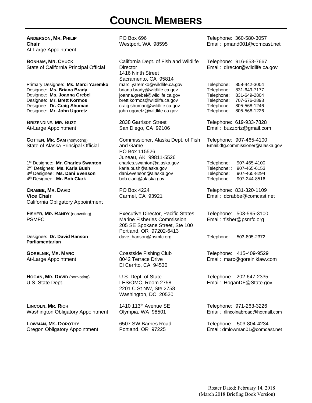# **COUNCIL MEMBERS**

**ANDERSON, MR. PHILIP Chair**  At-Large Appointment

**BONHAM, MR. CHUCK** State of California Principal Official

Primary Designee: **Ms. Marci Yaremko**  Designee: **Ms. Briana Brady** Designee: **Ms. Joanna Grebel**  Designee: **Mr. Brett Kormos**  Designee: **Dr. Craig Shuman**  Designee: **Mr. John Ugoretz** 

**BRIZENDINE, MR. BUZZ** At-Large Appointment

**COTTEN, MR. SAM** (nonvoting) State of Alaska Principal Official

1st Designee: **Mr. Charles Swanton** 2nd Designee: **Ms. Karla Bush** 3rd Designee: **Ms. Dani Evenson**  4th Designee: **Mr. Bob Clark** 

**CRABBE, MR. DAVID Vice Chair**  California Obligatory Appointment

**FISHER, MR. RANDY** (nonvoting) PSMFC

Designee: **Dr. David Hanson Parliamentarian** 

**GORELNIK, MR. MARC** At-Large Appointment

**HOGAN, MR. DAVID** (nonvoting) U.S. State Dept.

**LINCOLN, MR. RICH** Washington Obligatory Appointment

**LOWMAN, MS. DOROTHY** Oregon Obligatory Appointment

PO Box 696 Westport, WA 98595

California Dept. of Fish and Wildlife **Director** 1416 Ninth Street Sacramento, CA 95814 marci.yaremko@wildlife.ca.gov briana.brady@wildlife.ca.gov joanna.grebel@wildlife.ca.gov brett.kormos@wildlife.ca.gov craig.shuman@wildlife.ca.gov john.ugoretz@wildlife.ca.gov

2838 Garrison Street San Diego, CA 92106

Commissioner, Alaska Dept. of Fish and Game PO Box 115526 Juneau, AK 99811-5526 charles.swanton@alaska.gov karla.bush@alaska.gov dani.evenson@alaska.gov bob.clark@alaska.gov

PO Box 4224 Carmel, CA 93921

Executive Director, Pacific States Marine Fisheries Commission 205 SE Spokane Street, Ste 100 Portland, OR 97202-6413 dave\_hanson@psmfc.org Telephone: 503-805-2372

Coastside Fishing Club 8042 Terrace Drive El Cerrito, CA 94530

U.S. Dept. of State LES/OMC, Room 2758 2201 C St NW, Ste 2758 Washington, DC 20520

1410 113<sup>th</sup> Avenue SE Olympia, WA 98501

6507 SW Barnes Road Portland, OR 97225

Telephone: 360-580-3057 Email: pmand001@comcast.net

Telephone: 916-653-7667 Email: director@wildlife.ca.gov

Telephone: 858-442-3004 Telephone: 831-649-7177 Telephone: 831-649-2804 Telephone: 707-576-2893 Telephone: 805-568-1246 Telephone: 805-568-1226

Telephone: 619-933-7828 Email: buzzbriz@gmail.com

Telephone: 907-465-4100 Email:dfg.commissioner@alaska.gov

Telephone: 907-465-4100 Telephone: : 907-465-6153 Telephone: 907-465-8294 907-244-8516

Telephone: 831-320-1109 Email: dcrabbe@comcast.net

Telephone: 503-595-3100 Email: rfisher@psmfc.org

Telephone: 415-409-9529 Email: marc@gorelniklaw.com

Telephone: 202-647-2335 Email: HoganDF@State.gov

Telephone: 971-263-3226 Email: rlincolnabroad@hotmail.com

Telephone: 503-804-4234 Email: dmlowman01@comcast.net

Roster Dated: February 14, 2018 (March 2018 Briefing Book Version)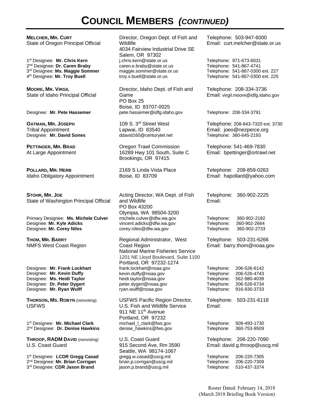# **COUNCIL MEMBERS** *(CONTINUED)*

**MELCHER, MR. CURT** State of Oregon Principal Official

1st Designee: **Mr. Chris Kern** 2nd Designee: **Dr. Caren Braby** 3rd Designee: **Ms. Maggie Sommer**  4th Designee: **Mr. Troy Buell** 

**MOORE, MR. VIRGIL** State of Idaho Principal Official

**OATMAN, MR. JOSEPH** Tribal Appointment Designee: Mr. David Sones

**PETTINGER, MR. BRAD** At Large Appointment

**POLLARD, MR. HERB** Idaho Obligatory Appointment

**STOHR, MR. JOE** State of Washington Principal Official

Primary Designee: **Ms. Michele Culver** Designee: **Mr. Kyle Adicks**  Designee: **Mr. Corey Niles**

**THOM, MR. BARRY** NMFS West Coast Region

Designee: **Mr. Frank Lockhart**  Designee: **Mr. Kevin Duffy**  Designee: **Ms. Heidi Taylor** Designee: **Dr. Peter Dygert**  Designee: **Mr. Ryan Wulff** 

**THORSON, MS. ROBYN** (nonvoting) USFWS

1st Designee: **Mr. Michael Clark** 2nd Designee: **Dr. Denise Hawkins** 

**THROOP, RADM DAVID** (nonvoting) U.S. Coast Guard

1st Designee: **LCDR Gregg Casad**  2nd Designee: **Mr. Brian Corrigan** 3rd Designee: **CDR Jason Brand** 

Director, Oregon Dept. of Fish and Wildlife 4034 Fairview Industrial Drive SE Salem, OR 97302 j.chris.kern@state.or.us caren.e.braby@state.or.us maggie.sommer@state.or.us troy.v.buell@state.or.us

Director, Idaho Dept. of Fish and Game PO Box 25 Boise, ID 83707-0025 Designee: **Mr. Pete Hassemer** pete.hassemer@idfg.idaho.gov Telephone: 208-334-3791

> 109 S. 3rd Street West Lapwai, ID 83540<br>ddavid160@centurytel.net

Oregon Trawl Commission 16289 Hwy 101 South, Suite C Brookings, OR 97415

2169 S Linda Vista Place Boise, ID 83709

Acting Director, WA Dept. of Fish and Wildlife PO Box 43200 Olympia, WA 98504-3200 michele.culver@dfw.wa.gov vincent.adicks@dfw.wa.gov corey.niles@dfw.wa.gov

Regional Administrator, West Coast Region National Marine Fisheries Service 1201 NE Lloyd Boulevard, Suite 1100 Portland, OR 97232-1274 frank.lockhart@noaa.gov kevin.duffy@noaa.gov heidi.taylor@noaa.gov peter.dygert@noaa.gov ryan.wulff@noaa.gov

USFWS Pacific Region Director, U.S. Fish and Wildlife Service 911 NE 11<sup>th</sup> Avenue Portland, OR 97232 michael I clark@fws.gov denise\_hawkins@fws.gov

U.S. Coast Guard 915 Second Ave, Rm 3590 Seattle, WA 98174-1067 gregg.w.casad@uscg.mil brian.p.corrigan@uscg.mil jason.p.brand@uscg.mil

Telephone: 503-947-6000 Email: curt.melcher@state.or.us

Telephone: 971-673-6031 Telephone: 541-867-4741 Telephone: 541-867-0300 ext. 227 Telephone: 541-867-0300 ext. 225

Telephone: 208-334-3736 Email: virgil.moore@idfg.idaho.gov

Telephone: 208-843-7320 ext. 3730 Email: joeo@nezperce.org<br>Telephone: 360-645-2193

Telephone: 541-469-7830 Email: bpettinger@ortrawl.net

Telephone: 208-859-0263 Email: hapollard@yahoo.com

Telephone: 360-902-2225 Email:

Telephone: 360-902-2182 Telephone: 360-902-2664 Telephone: 360-902-2733

Telephone: 503-231-6266 Email: barry.thom@noaa.gov

Telephone: 206-526-6142 Telephone: 206-526-4743 Telephone: 562-980-4039 Telephone: 206-526-6734 Telephone: 916-930-3733

Telephone: 503-231-6118 Email:

Telephone: 509-493-1730 Telephone 360-753-9509

Telephone: 206-220-7090 Email: david.g.throop@uscg.mil

Telephone: 206-220-7305 Telephone: 206-220-7309 Telephone: 510-437-3374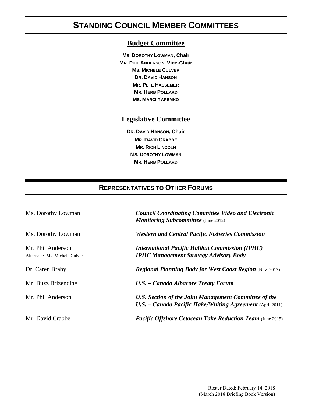# **STANDING COUNCIL MEMBER COMMITTEES**

#### **Budget Committee**

**MS. DOROTHY LOWMAN, Chair MR. PHIL ANDERSON, Vice-Chair MS. MICHELE CULVER DR. DAVID HANSON MR. PETE HASSEMER MR. HERB POLLARD MS. MARCI YAREMKO**

#### **Legislative Committee**

**DR. DAVID HANSON, Chair MR. DAVID CRABBE MR. RICH LINCOLN MS. DOROTHY LOWMAN MR. HERB POLLARD**

### **REPRESENTATIVES TO OTHER FORUMS**

| Ms. Dorothy Lowman                                 | <b>Council Coordinating Committee Video and Electronic</b><br><b>Monitoring Subcommittee</b> (June 2012)             |  |
|----------------------------------------------------|----------------------------------------------------------------------------------------------------------------------|--|
| Ms. Dorothy Lowman                                 | <b>Western and Central Pacific Fisheries Commission</b>                                                              |  |
| Mr. Phil Anderson<br>Alternate: Ms. Michele Culver | <b>International Pacific Halibut Commission (IPHC)</b><br><b>IPHC Management Strategy Advisory Body</b>              |  |
| Dr. Caren Braby                                    | <b>Regional Planning Body for West Coast Region (Nov. 2017)</b>                                                      |  |
| Mr. Buzz Brizendine                                | U.S. - Canada Albacore Treaty Forum                                                                                  |  |
| Mr. Phil Anderson                                  | U.S. Section of the Joint Management Committee of the<br>$U.S.$ – Canada Pacific Hake/Whiting Agreement (April 2011) |  |
| Mr. David Crabbe                                   | <b>Pacific Offshore Cetacean Take Reduction Team (June 2015)</b>                                                     |  |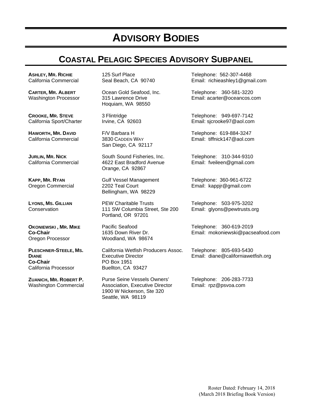# **ADVISORY BODIES**

# **COASTAL PELAGIC SPECIES ADVISORY SUBPANEL**

**ASHLEY, MR. RICHIE** California Commercial

**CARTER, MR. ALBERT** Washington Processor

**CROOKE, MR. STEVE** California Sport/Charter

**HAWORTH, MR. DAVID** California Commercial

**JURLIN, MR. NICK** California Commercial

**KAPP, MR. RYAN** Oregon Commercial

**LYONS, MS. GILLIAN Conservation** 

**OKONIEWSKI , MR. MIKE Co-Chair**  Oregon Processor

**PLESCHNER-STEELE, MS. DIANE Co-Chair**  California Processor

**ZUANICH, MR. ROBERT P.**  Washington Commercial 125 Surf Place Seal Beach, CA 90740

Ocean Gold Seafood, Inc. 315 Lawrence Drive Hoquiam, WA 98550

3 Flintridge Irvine, CA 92603

F/V Barbara H 3830 CADDEN WAY San Diego, CA 92117

South Sound Fisheries, Inc. 4622 East Bradford Avenue Orange, CA 92867

Gulf Vessel Management 2202 Teal Court Bellingham, WA 98229

PEW Charitable Trusts 111 SW Columbia Street, Ste 200 Portland, OR 97201

Pacific Seafood 1635 Down River Dr. Woodland, WA 98674

California Wetfish Producers Assoc. Executive Director PO Box 1951 Buellton, CA 93427

Purse Seine Vessels Owners' Association, Executive Director 1900 W Nickerson, Ste 320 Seattle, WA 98119

Telephone: 562-307-4468 Email: richieashley1@gmail.com

Telephone: 360-581-3220 Email: acarter@oceancos.com

Telephone: 949-697-7142 Email: sjcrooke97@aol.com

Telephone: 619-884-3247 Email: tiffnick147@aol.com

Telephone: 310-344-9310 Email: fveileen@gmail.com

Telephone: 360-961-6722 Email: kappjr@gmail.com

Telephone: 503-975-3202 Email: glyons@pewtrusts.org

Telephone: 360-619-2019 Email: mokoniewski@pacseafood.com

Telephone: 805-693-5430 Email: diane@californiawetfish.org

Telephone: 206-283-7733 Email: rpz@psvoa.com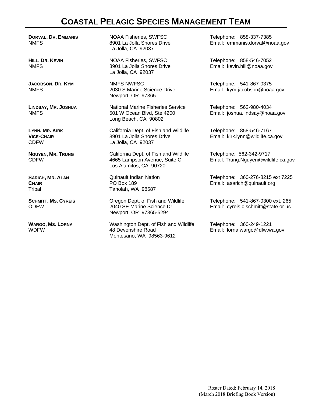## **COASTAL PELAGIC SPECIES MANAGEMENT TEAM**

**DORVAL, DR. EMMANIS** NMFS

**HILL, DR. KEVIN** NMFS

**JACOBSON, DR. KYM** NMFS

**LINDSAY, MR. JOSHUA** NMFS

**LYNN, MR. KIRK VICE-CHAIR** CDFW

**NGUYEN, MR. TRUNG** CDFW

**SARICH, MR. ALAN CHAIR**  Tribal

**SCHMITT, MS. CYREIS**  ODFW

**WARGO, MS. LORNA** WDFW

NOAA Fisheries, SWFSC 8901 La Jolla Shores Drive La Jolla, CA 92037

NOAA Fisheries, SWFSC 8901 La Jolla Shores Drive La Jolla, CA 92037

NMFS NWFSC 2030 S Marine Science Drive Newport, OR 97365

National Marine Fisheries Service 501 W Ocean Blvd, Ste 4200 Long Beach, CA 90802

California Dept. of Fish and Wildlife 8901 La Jolla Shores Drive La Jolla, CA 92037

California Dept. of Fish and Wildlife 4665 Lampson Avenue, Suite C Los Alamitos, CA 90720

Quinault Indian Nation PO Box 189 Taholah, WA 98587

Oregon Dept. of Fish and Wildlife 2040 SE Marine Science Dr. Newport, OR 97365-5294

Washington Dept. of Fish and Wildlife 48 Devonshire Road Montesano, WA 98563-9612

Telephone: 858-337-7385 Email: emmanis.dorval@noaa.gov

Telephone: 858-546-7052 Email: kevin.hill@noaa.gov

Telephone: 541-867-0375 Email: kym.jacobson@noaa.gov

Telephone: 562-980-4034 Email: joshua.lindsay@noaa.gov

Telephone: 858-546-7167 Email: kirk.lynn@wildlife.ca.gov

Telephone: 562-342-9717 Email: Trung.Nguyen@wildlife.ca.gov

Telephone: 360-276-8215 ext 7225 Email: asarich@quinault.org

Telephone: 541-867-0300 ext. 265 Email: cyreis.c.schmitt@state.or.us

Telephone: 360-249-1221 Email: lorna.wargo@dfw.wa.gov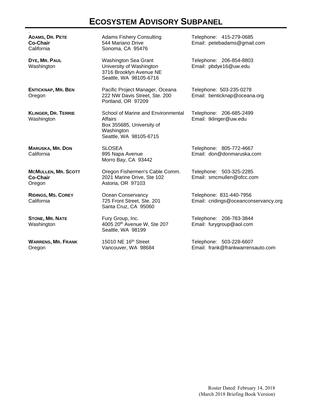# **ECOSYSTEM ADVISORY SUBPANEL**

| <b>ADAMS, DR. PETE</b><br><b>Co-Chair</b><br>California | <b>Adams Fishery Consulting</b><br>544 Mariano Drive<br>Sonoma, CA 95476                                           | Telephone: 415-279-0685<br>Email: petebadams@gmail.com          |
|---------------------------------------------------------|--------------------------------------------------------------------------------------------------------------------|-----------------------------------------------------------------|
| DYE, MR. PAUL<br>Washington                             | Washington Sea Grant<br>University of Washington<br>3716 Brooklyn Avenue NE<br>Seattle, WA 98105-6716              | Telephone: 206-854-8803<br>Email: pbdye16@uw.edu                |
| <b>ENTICKNAP, MR. BEN</b><br>Oregon                     | Pacific Project Manager, Oceana<br>222 NW Davis Street, Ste. 200<br>Portland, OR 97209                             | Telephone: 503-235-0278<br>Email: benticknap@oceana.org         |
| <b>KLINGER, DR. TERRIE</b><br>Washington                | School of Marine and Environmental<br>Affairs<br>Box 355685, University of<br>Washington<br>Seattle, WA 98105-6715 | Telephone: 206-685-2499<br>Email: tklinger@uw.edu               |
| <b>MARUSKA, MR. DON</b><br>California                   | <b>SLOSEA</b><br>895 Napa Avenue<br>Morro Bay, CA 93442                                                            | Telephone: 805-772-4667<br>Email: don@donmaruska.com            |
| <b>MCMULLEN, MR. SCOTT</b><br><b>Co-Chair</b><br>Oregon | Oregon Fishermen's Cable Comm.<br>2021 Marine Drive, Ste 102<br>Astoria, OR 97103                                  | Telephone: 503-325-2285<br>Email: smcmullen@ofcc.com            |
| <b>RIDINGS, MS. COREY</b><br>California                 | Ocean Conservancy<br>725 Front Street, Ste. 201<br>Santa Cruz, CA 95060                                            | Telephone: 831-440-7956<br>Email: cridings@oceanconservancy.org |
| <b>STONE, MR. NATE</b><br>Washington                    | Fury Group, Inc.<br>4005 20 <sup>th</sup> Avenue W, Ste 207<br>Seattle, WA 98199                                   | Telephone: 206-783-3844<br>Email: furygroup@aol.com             |
| <b>WARRENS, MR. FRANK</b><br>Oregon                     | 15010 NE 16th Street<br>Vancouver, WA 98684                                                                        | Telephone: 503-228-6607<br>Email: frank@frankwarrensauto.com    |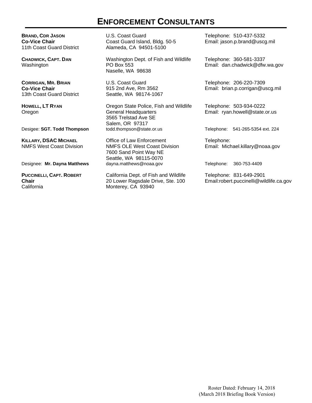## **ENFORCEMENT CONSULTANTS**

**BRAND, CDR JASON Co-Vice Chair** 11th Coast Guard District

**CHADWICK, CAPT. DAN** Washington

**CORRIGAN, MR. BRIAN Co-Vice Chair** 13th Coast Guard District

**HOWELL, LT RYAN** Oregon

**KILLARY, DSAC MICHAEL** NMFS West Coast Division

**PUCCINELLI, CAPT. ROBERT Chair California** 

U.S. Coast Guard Coast Guard Island, Bldg. 50-5 Alameda, CA 94501-5100

Washington Dept. of Fish and Wildlife PO Box 553 Naselle, WA 98638

U.S. Coast Guard 915 2nd Ave, Rm 3562 Seattle, WA 98174-1067

Oregon State Police, Fish and Wildlife General Headquarters 3565 Trelstad Ave SE Salem, OR 97317<br>todd.thompson@state.or.us Desigee: **SGT. Todd Thompson** todd.thompson@state.or.us Telephone: 541-265-5354 ext. 224

Office of Law Enforcement NMFS OLE West Coast Division 7600 Sand Point Way NE Seattle, WA 98115-0070 Designee: Mr. Dayna Matthews **dayna.matthews@noaa.gov** Telephone: 360-753-4409

> California Dept. of Fish and Wildlife 20 Lower Ragsdale Drive, Ste. 100 Monterey, CA 93940

Telephone: 510-437-5332 Email: jason.p.brand@uscg.mil

Telephone: 360-581-3337 Email: dan.chadwick@dfw.wa.gov

Telephone: 206-220-7309 Email: brian.p.corrigan@uscg.mil

Telephone: 503-934-0222 Email: ryan.howell@state.or.us

Telephone: Email: Michael.killary@noaa.gov

Telephone: 831-649-2901 Email:robert.puccinelli@wildlife.ca.gov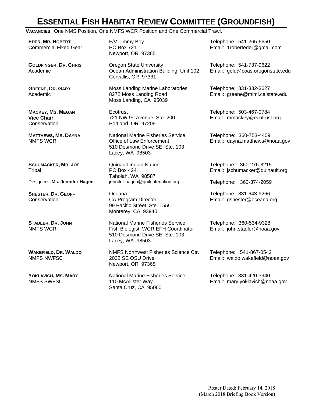# **ESSENTIAL FISH HABITAT REVIEW COMMITTEE (GROUNDFISH)**

**VACANCIES**: One NMS Position, One NMFS WCR Position and One Commercial Trawl.

**EDER, MR. ROBERT** Commercial Fixed Gear

**GOLDFINGER, DR. CHRIS** Academic

**GREENE, DR. GARY** Academic

**MACKEY, MS. MEGAN Vice Chair Conservation** 

**MATTHEWS, MR. DAYNA** NMFS WCR

**SCHUMACKER, MR. JOE Tribal** 

**SHESTER, DR. GEOFF Conservation** 

**STADLER, DR. JOHN** NMFS WCR

**WAKEFIELD, DR. WALDO** NMFS NWFSC

**YOKLAVICH, MS. MARY** NMFS SWFSC

F/V Timmy Boy PO Box 721 Newport, OR 97365

Oregon State University Ocean Administration Building, Unit 102 Corvallis, OR 97331

Moss Landing Marine Laboratories 8272 Moss Landing Road Moss Landing, CA 95039

**Ecotrust** 721 NW 9th Avenue, Ste. 200 Portland, OR 97209

National Marine Fisheries Service Office of Law Enforcement 510 Desmond Drive SE, Ste. 103 Lacey, WA 98503

Quinault Indian Nation PO Box 424 Taholah, WA 98587 Designee: **Ms. Jennifer Hagen** jennifer.hagen@quileutenation.org Telephone: 360-374-2059

> Oceana CA Program Director 99 Pacific Street, Ste. 155C Monterey, CA 93940

National Marine Fisheries Service Fish Biologist, WCR EFH Coordinator 510 Desmond Drive SE, Ste. 103 Lacey, WA 98503

NMFS Northwest Fisheries Science Ctr. 2032 SE OSU Drive Newport, OR 97365

National Marine Fisheries Service 110 McAllister Way Santa Cruz, CA 95060

Telephone: 541-265-6650 Email: 1roberteder@gmail.com

Telephone: 541-737-9622 Email: gold@coas.oregonstate.edu

Telephone: 831-332-3627 Email: greene@mlml.calstate.edu

Telephone: 503-467-0784 Email: mmackey@ecotrust.org

Telephone: 360-753-4409 Email: dayna.matthews@noaa.gov

Telephone: 360-276-8215 Email: jschumacker@quinault.org

Telephone: 831-643-9266 Email: gshester@oceana.org

Telephone: 360-534-9328 Email: john.stadler@noaa.gov

Telephone: 541-867-0542 Email: waldo.wakefield@noaa.gov

Telephone: 831-420-3940 Email: mary.yoklavich@noaa.gov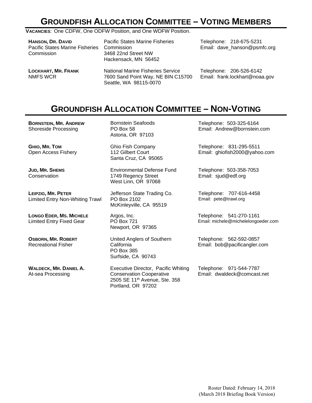# **GROUNDFISH ALLOCATION COMMITTEE – VOTING MEMBERS**

**VACANCIES**: One CDFW, One ODFW Position, and One WDFW Position.

| HANSON, DR. DAVID<br><b>Pacific States Marine Fisheries</b><br>Commission | <b>Pacific States Marine Fisheries</b><br>Commission<br>3468 22nd Street NW<br>Hackensack, MN 56452 | Telephone: 218-675-5231<br>Email: dave_hanson@psmfc.org |  |
|---------------------------------------------------------------------------|-----------------------------------------------------------------------------------------------------|---------------------------------------------------------|--|
| LOCKHART, MR. FRANK                                                       | <b>National Marine Fisheries Service</b>                                                            | Telephone: 206-526-6142                                 |  |
| NMFS WCR                                                                  | 7600 Sand Point Way, NE BIN C15700                                                                  | Email: frank.lockhart@noaa.gov                          |  |

# **GROUNDFISH ALLOCATION COMMITTEE – NON-VOTING**

**BORNSTEIN, MR. ANDREW**  Shoreside Processing

**GHIO, MR. TOM** Open Access Fishery

**JUD, MR. SHEMS Conservation** 

**LEIPZIG, MR. PETER** Limited Entry Non-Whiting Trawl

**LONGO EDER, MS. MICHELE** Limited Entry Fixed Gear

**OSBORN, MR. ROBERT** Recreational Fisher

**WALDECK, MR. DANIEL A.**  At-sea Processing

Bornstein Seafoods PO Box 58 Astoria, OR 97103

Seattle, WA 98115-0070

Ghio Fish Company 112 Gilbert Court Santa Cruz, CA 95065

Environmental Defense Fund 1749 Regency Street West Linn, OR 97068

Jefferson State Trading Co. PO Box 2102 McKinleyville, CA 95519

Argos, Inc. PO Box 721 Newport, OR 97365

United Anglers of Southern California PO Box 385 Surfside, CA 90743

Executive Director, Pacific Whiting Conservation Cooperative 2505 SE 11th Avenue, Ste. 358 Portland, OR 97202

Telephone: 503-325-6164 Email: Andrew@bornstein.com

Telephone: 831-295-5511 Email: ghiofish2000@yahoo.com

Telephone: 503-358-7053 Email: sjud@edf.org

Telephone: 707-616-4458 Email: pete@trawl.org

Telephone: 541-270-1161 Email: michele@michelelongoeder.com

Telephone: 562-592-0857 Email: bob@pacificangler.com

Telephone: 971-544-7787 Email: dwaldeck@comcast.net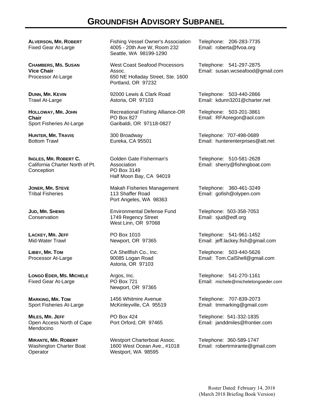## **GROUNDFISH ADVISORY SUBPANEL**

**ALVERSON, MR. ROBERT** Fixed Gear At-Large

**CHAMBERS, MS. SUSAN Vice Chair**  Processor At-Large

**DUNN, MR. KEVIN** Trawl At-Large

**HOLLOWAY, MR. JOHN Chair**  Sport Fisheries At-Large

**HUNTER, MR. TRAVIS** Bottom Trawl

**INGLES, MR. ROBERT C.**  California Charter North of Pt. **Conception** 

**JONER, MR. STEVE**  Tribal Fisheries

**JUD, MR. SHEMS Conservation** 

**LACKEY, MR. JEFF**  Mid-Water Trawl

**LIBBY, MR. TOM**  Processor At-Large

**LONGO EDER, MS. MICHELE**  Fixed Gear At-Large

**MARKING, MR. TOM** Sport Fisheries At-Large

**MILES, MR. JEFF** Open Access North of Cape Mendocino

**MIRANTE, MR. ROBERT** Washington Charter Boat **Operator** 

Fishing Vessel Owner's Association 4005 - 20th Ave W, Room 232 Seattle, WA 98199-1290

West Coast Seafood Processors Assoc. 650 NE Holladay Street, Ste. 1600 Portland, OR 97232

92000 Lewis & Clark Road Astoria, OR 97103

Recreational Fishing Alliance-OR PO Box 827 Garibaldi, OR 97118-0827

300 Broadway Eureka, CA 95501

Golden Gate Fisherman's **Association** PO Box 3149 Half Moon Bay, CA 94019

Makah Fisheries Management 113 Shaffer Road Port Angeles, WA 98363

Environmental Defense Fund 1749 Regency Street West Linn, OR 97068

PO Box 1010 Newport, OR 97365

CA Shellfish Co., Inc. 90085 Logan Road Astoria, OR 97103

Argos, Inc. PO Box 721 Newport, OR 97365

1456 Whitmire Avenue McKinleyville, CA 95519

PO Box 424 Port Orford, OR 97465

Westport Charterboat Assoc. 1600 West Ocean Ave., #1018 Westport, WA 98595

Telephone: 206-283-7735 Email: roberta@fvoa.org

Telephone: 541-297-2875 Email: susan.wcseafood@gmail.com

Telephone: 503-440-2866 Email: kdunn3201@charter.net

Telephone: 503-201-3861 Email: RFAoregon@aol.com

Telephone: 707-498-0689 Email: hunterenterprises@att.net

Telephone: 510-581-2628 Email: sherry@fishingboat.com

Telephone: 360-461-3249 Email: gofish@olypen.com

Telephone: 503-358-7053 Email: sjud@edf.org

Telephone: 541-961-1452 Email: jeff.lackey.fish@gmail.com

Telephone: 503-440-5626 Email: Tom.CalShell@gmail.com

Telephone: 541-270-1161 Email: michele@michelelongoeder.com

Telephone: 707-839-2073 Email: tmmarking@gmail.com

Telephone: 541-332-1835 Email: janddmiles@frontier.com

Telephone: 360-589-1747 Email: robertrmirante@gmail.com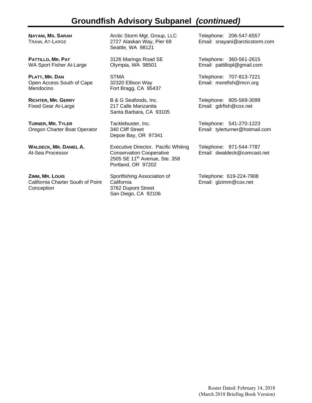## **Groundfish Advisory Subpanel** *(continued)*

**NAYANI, MS. SARAH** TRAWL AT-LARGE

**PATTILLO, MR. PAT**  WA Sport Fisher At-Large

**PLATT, MR. DAN** Open Access South of Cape Mendocino

**RICHTER, MR. GERRY** Fixed Gear At-Large

**TURNER, MR. TYLER** Oregon Charter Boat Operator

**WALDECK, MR. DANIEL A.**  At-Sea Processor

**ZIMM, MR. LOUIS** California Charter South of Point Conception

Arctic Storm Mgt. Group, LLC 2727 Alaskan Way, Pier 69 Seattle, WA 98121

3126 Maringo Road SE Olympia, WA 98501

STMA 32320 Ellison Way Fort Bragg, CA 95437

B & G Seafoods, Inc. 217 Calle Manzanita Santa Barbara, CA 93105

Tacklebuster, Inc. 340 Cliff Street Depoe Bay, OR 97341

Executive Director, Pacific Whiting Conservation Cooperative 2505 SE 11<sup>th</sup> Avenue, Ste. 358 Portland, OR 97202

Sportfishing Association of **California** 3762 Dupont Street San Diego, CA 92106

Telephone: 206-547-6557 Email: snayani@arcticstorm.com

Telephone: 360-561-2615 Email: pattillopl@gmail.com

Telephone: 707-813-7221 Email: morefish@mcn.org

Telephone: 805-569-3099 Email: gdrfish@cox.net

Telephone: 541-270-1223 Email: tylerturner@hotmail.com

Telephone: 971-544-7787 Email: dwaldeck@comcast.net

Telephone: 619-224-7908 Email: glzimm@cox.net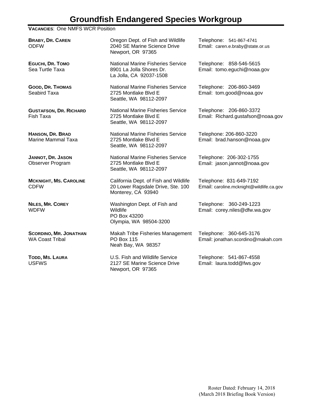## **Groundfish Endangered Species Workgroup**

#### **VACANCIES**: One NMFS WCR Position

**BRABY, DR. CAREN** ODFW Oregon Dept. of Fish and Wildlife 2040 SE Marine Science Drive Newport, OR 97365 Telephone: 541-867-4741 Email: caren.e.braby@state.or.us **EGUCHI, DR. TOMO** Sea Turtle Taxa National Marine Fisheries Service 8901 La Jolla Shores Dr. La Jolla, CA 92037-1508 Telephone: 858-546-5615 Email: tomo.eguchi@noaa.gov **GOOD, DR. THOMAS** Seabird Taxa National Marine Fisheries Service 2725 Montlake Blvd E Seattle, WA 98112-2097 Telephone: 206-860-3469 Email: tom.good@noaa.gov **GUSTAFSON, DR. RICHARD** Fish Taxa National Marine Fisheries Service 2725 Montlake Blvd E Seattle, WA 98112-2097 Telephone: 206-860-3372 Email: Richard.gustafson@noaa.gov **HANSON, DR. BRAD** Marine Mammal Taxa National Marine Fisheries Service 2725 Montlake Blvd E Seattle, WA 98112-2097 Telephone: 206-860-3220 Email: brad.hanson@noaa.gov **JANNOT, DR. JASON** Observer Program National Marine Fisheries Service 2725 Montlake Blvd E Seattle, WA 98112-2097 Telephone: 206-302-1755 Email: jason.jannot@noaa.gov **MCKNIGHT, MS. CAROLINE** CDFW California Dept. of Fish and Wildlife 20 Lower Ragsdale Drive, Ste. 100 Monterey, CA 93940 Telephone: 831-649-7192 Email: caroline.mcknight@wildlife.ca.gov **NILES, MR. COREY** WDFW Washington Dept. of Fish and **Wildlife** PO Box 43200 Olympia, WA 98504-3200 Telephone: 360-249-1223 Email: corey.niles@dfw.wa.gov **SCORDINO, MR. JONATHAN** WA Coast Tribal Makah Tribe Fisheries Management PO Box 115 Neah Bay, WA 98357 Telephone: 360-645-3176 Email: jonathan.scordino@makah.com **TODD, MS. LAURA** USFWS U.S. Fish and Wildlife Service 2127 SE Marine Science Drive Telephone: 541-867-4558 Email: laura.todd@fws.gov

Newport, OR 97365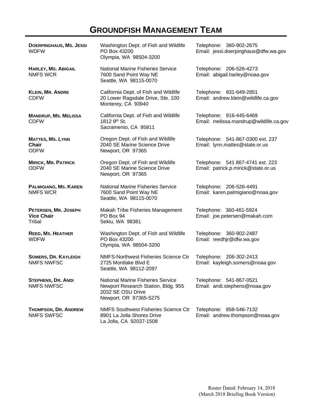# **GROUNDFISH MANAGEMENT TEAM**

| <b>DOERPINGHAUS, MS. JESSI</b><br><b>WDFW</b>          | Washington Dept. of Fish and Wildlife<br>PO Box 43200<br>Olympia, WA 98504-3200                                                | Telephone: 360-902-2675<br>Email: jessi.doerpinghaus@dfw.wa.gov         |
|--------------------------------------------------------|--------------------------------------------------------------------------------------------------------------------------------|-------------------------------------------------------------------------|
| <b>HARLEY, MS. ABIGAIL</b><br><b>NMFS WCR</b>          | <b>National Marine Fisheries Service</b><br>7600 Sand Point Way NE<br>Seattle, WA 98115-0070                                   | Telephone: 206-526-4273<br>Email: abigail.harley@noaa.gov               |
| <b>KLEIN, MR. ANDRE</b><br><b>CDFW</b>                 | California Dept. of Fish and Wildlife<br>20 Lower Ragsdale Drive, Ste. 100<br>Monterey, CA 93940                               | Telephone: 831-649-2851<br>Email: andrew.klein@wildlife.ca.gov          |
| <b>MANDRUP, MS. MELISSA</b><br><b>CDFW</b>             | California Dept. of Fish and Wildlife<br>1812 9 <sup>th</sup> St.<br>Sacramento, CA 95811                                      | Telephone: 916-445-6469<br>Email: melissa.mandrup@wildlife.ca.gov       |
| <b>MATTES, MS. LYNN</b><br><b>Chair</b><br><b>ODFW</b> | Oregon Dept. of Fish and Wildlife<br>2040 SE Marine Science Drive<br>Newport, OR 97365                                         | Telephone: 541-867-0300 ext. 237<br>Email: lynn.mattes@state.or.us      |
| <b>MIRICK, MR. PATRICK</b><br><b>ODFW</b>              | Oregon Dept. of Fish and Wildlife<br>2040 SE Marine Science Drive<br>Newport, OR 97365                                         | Telephone: 541 867-4741 ext. 223<br>Email: patrick.p.mirick@state.or.us |
| PALMIGIANO, MS. KAREN<br><b>NMFS WCR</b>               | <b>National Marine Fisheries Service</b><br>7600 Sand Point Way NE<br>Seattle, WA 98115-0070                                   | Telephone: 206-526-4491<br>Email: karen.palmigiano@noaa.gov             |
| PETERSEN, MR. JOSEPH<br><b>Vice Chair</b><br>Tribal    | Makah Tribe Fisheries Management<br>PO Box 94<br>Sekiu, WA 98381                                                               | Telephone: 360-461-5924<br>Email: joe.petersen@makah.com                |
| REED, MS. HEATHER<br><b>WDFW</b>                       | Washington Dept. of Fish and Wildlife<br>PO Box 43200<br>Olympia, WA 98504-3200                                                | Telephone: 360-902-2487<br>Email: reedhjr@dfw.wa.gov                    |
| <b>SOMERS, DR. KAYLEIGH</b><br><b>NMFS NWFSC</b>       | <b>NMFS-Northwest Fisheries Science Ctr</b><br>2725 Montlake Blvd E<br>Seattle, WA 98112-2097                                  | Telephone: 206-302-2413<br>Email: kayleigh.somers@noaa.gov              |
| <b>STEPHENS, DR. ANDI</b><br><b>NMFS NWFSC</b>         | <b>National Marine Fisheries Service</b><br>Newport Research Station, Bldg. 955<br>2032 SE OSU Drive<br>Newport, OR 97365-5275 | Telephone: 541-867-0521<br>Email: andi.stephens@noaa.gov                |
| <b>THOMPSON, DR. ANDREW</b><br><b>NMFS SWFSC</b>       | <b>NMFS Southwest Fisheries Science Ctr</b><br>8901 La Jolla Shores Drive<br>La Jolla, CA 92037-1508                           | Telephone: 858-546-7132<br>Email: andrew.thompson@noaa.gov              |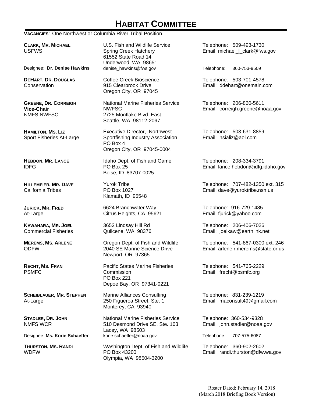# **HABITAT COMMITTEE**

**VACANCIES**: One Northwest or Columbia River Tribal Position.

**CLARK, MR. MICHAEL**  USFWS

Designee: **Dr. Denise Hawkins** denise\_hawkins@fws.gov Telephone: 360-753-9509

**DEHART, DR. DOUGLAS Conservation** 

**GREENE, DR. CORREIGH Vice-Chair**  NMFS NWFSC

**HAMILTON, MS. LIZ** Sport Fisheries At-Large

**HEBDON, MR. LANCE** IDFG

**HILLEMEIER, MR. DAVE** California Tribes

**JURICK, MR. FRED** At-Large

**KAWAHARA, MR. JOEL** Commercial Fisheries

**MEREMS, MS. ARLENE** ODFW

**RECHT, MS. FRAN** PSMFC

**SCHEIBLAUER, MR. STEPHEN** At-Large

**STADLER, DR. JOHN** NMFS WCR

**THURSTON, MS. RANDI** WDFW

U.S. Fish and Wildlife Service Spring Creek Hatchery 61552 State Road 14 Underwood, WA 98651

Coffee Creek Bioscience 915 Clearbrook Drive Oregon City, OR 97045

National Marine Fisheries Service NWFSC 2725 Montlake Blvd. East Seattle, WA 98112-2097

Executive Director, Northwest Sportfishing Industry Association PO Box 4 Oregon City, OR 97045-0004

Idaho Dept. of Fish and Game PO Box 25 Boise, ID 83707-0025

Yurok Tribe PO Box 1027 Klamath, ID 95548

6624 Branchwater Way Citrus Heights, CA 95621

3652 Lindsay Hill Rd Quilcene, WA 98376

Oregon Dept. of Fish and Wildlife 2040 SE Marine Science Drive Newport, OR 97365

Pacific States Marine Fisheries **Commission** PO Box 221 Depoe Bay, OR 97341-0221

Marine Alliances Consulting 250 Figueroa Street, Ste. 1 Monterey, CA 93940

National Marine Fisheries Service 510 Desmond Drive SE, Ste. 103 Lacey, WA 98503 Designee: **Ms. Korie Schaeffer** korie.schaeffer@noaa.gov Telephone: 707-575-6087

> Washington Dept. of Fish and Wildlife PO Box 43200 Olympia, WA 98504-3200

Telephone: 509-493-1730 Email: michael I clark@fws.gov

Telephone: 503-701-4578 Email: ddehart@onemain.com

Telephone: 206-860-5611 Email: correigh.greene@noaa.gov

Telephone: 503-631-8859 Email: nsializ@aol.com

Telephone: 208-334-3791 Email: lance.hebdon@idfg.idaho.gov

Telephone: 707-482-1350 ext. 315 Email: dave@yuroktribe.nsn.us

Telephone: 916-729-1485 Email: fjurick@yahoo.com

Telephone: 206-406-7026 Email: joelkaw@earthlink.net

Telephone: 541-867-0300 ext. 246 Email: arlene.r.merems@state.or.us

Telephone: 541-765-2229 Email: frecht@psmfc.org

Telephone: 831-239-1219 Email: maconsult49@gmail.com

Telephone: 360-534-9328 Email: john.stadler@noaa.gov

Telephone: 360-902-2602 Email: randi.thurston@dfw.wa.gov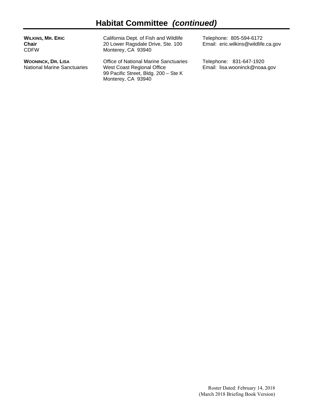# **Habitat Committee** *(continued)*

| <b>WILKINS, MR. ERIC</b><br><b>Chair</b><br><b>CDFW</b> | California Dept. of Fish and Wildlife<br>20 Lower Ragsdale Drive, Ste. 100<br>Monterey, CA 93940 | Telephone: 805-594-6172<br>Email: eric.wilkins@wildlife.ca.gov |
|---------------------------------------------------------|--------------------------------------------------------------------------------------------------|----------------------------------------------------------------|
| <b>WOONINCK, DR. LISA</b>                               | Office of National Marine Sanctuaries                                                            | Telephone: 831-647-1920                                        |
| <b>National Marine Sanctuaries</b>                      | West Coast Regional Office                                                                       | Email: lisa.wooninck@noaa.gov                                  |

99 Pacific Street, Bldg. 200 – Ste K

Monterey, CA 93940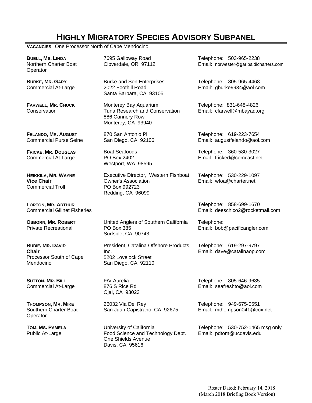# **HIGHLY MIGRATORY SPECIES ADVISORY SUBPANEL**

**VACANCIES**: One Processor North of Cape Mendocino.

| <b>BUELL, MS. LINDA</b><br>Northern Charter Boat<br>Operator             | 7695 Galloway Road<br>Cloverdale, OR 97112                                                               | Telephone: 503-965-2238<br>Email: norwester@garibaldicharters.com |
|--------------------------------------------------------------------------|----------------------------------------------------------------------------------------------------------|-------------------------------------------------------------------|
| <b>BURKE, MR. GARY</b><br><b>Commercial At-Large</b>                     | <b>Burke and Son Enterprises</b><br>2022 Foothill Road<br>Santa Barbara, CA 93105                        | Telephone: 805-965-4468<br>Email: gburke9934@aol.com              |
| <b>FARWELL, MR. CHUCK</b><br>Conservation                                | Monterey Bay Aquarium,<br>Tuna Research and Conservation<br>886 Cannery Row<br>Monterey, CA 93940        | Telephone: 831-648-4826<br>Email: cfarwell@mbayaq.org             |
| FELANDO, MR. AUGUST<br><b>Commercial Purse Seine</b>                     | 870 San Antonio Pl<br>San Diego, CA 92106                                                                | Telephone: 619-223-7654<br>Email: augustfelando@aol.com           |
| <b>FRICKE, MR. DOUGLAS</b><br><b>Commercial At-Large</b>                 | <b>Boat Seafoods</b><br>PO Box 2402<br>Westport, WA 98595                                                | Telephone: 360-580-3027<br>Email: fricked@comcast.net             |
| HEIKKILA, MR. WAYNE<br><b>Vice Chair</b><br><b>Commercial Troll</b>      | Executive Director, Western Fishboat<br><b>Owner's Association</b><br>PO Box 992723<br>Redding, CA 96099 | Telephone: 530-229-1097<br>Email: wfoa@charter.net                |
| <b>LORTON, MR. ARTHUR</b><br><b>Commercial Gillnet Fisheries</b>         |                                                                                                          | Telephone: 858-699-1670<br>Email: deeschico2@rocketmail.com       |
| <b>OSBORN, MR. ROBERT</b><br><b>Private Recreational</b>                 | United Anglers of Southern California<br>PO Box 385<br>Surfside, CA 90743                                | Telephone:<br>Email: bob@pacificangler.com                        |
| RUDIE, MR. DAVID<br><b>Chair</b><br>Processor South of Cape<br>Mendocino | President, Catalina Offshore Products,<br>Inc.<br>5202 Lovelock Street<br>San Diego, CA 92110            | Telephone: 619-297-9797<br>Email: dave@catalinaop.com             |
| <b>SUTTON, MR. BILL</b><br><b>Commercial At-Large</b>                    | F/V Aurelia<br>876 S Rice Rd<br>Ojai, CA 93023                                                           | Telephone: 805-646-9685<br>Email: seafreshto@aol.com              |
| <b>THOMPSON, MR. MIKE</b><br>Southern Charter Boat<br>Operator           | 26032 Via Del Rey<br>San Juan Capistrano, CA 92675                                                       | Telephone: 949-675-0551<br>Email: mthompson041@cox.net            |
| TOM, MS. PAMELA<br>Public At-Large                                       | University of California<br>Food Science and Technology Dept.<br>One Shields Avenue<br>Davis, CA 95616   | Telephone: 530-752-1465 msg only<br>Email: pdtom@ucdavis.edu      |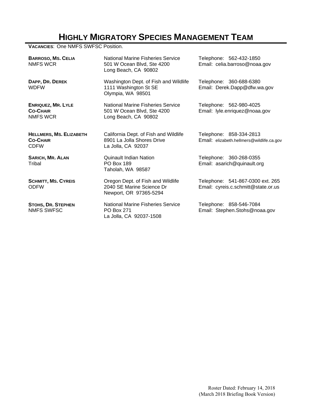# **HIGHLY MIGRATORY SPECIES MANAGEMENT TEAM**

**VACANCIES**: One NMFS SWFSC Position.

| <b>BARROSO, MS. CELIA</b><br>NMFS WCR                            | National Marine Fisheries Service<br>501 W Ocean Blvd, Ste 4200<br>Long Beach, CA 90802        | Telephone: 562-432-1850<br>Email: celia.barroso@noaa.gov                |  |
|------------------------------------------------------------------|------------------------------------------------------------------------------------------------|-------------------------------------------------------------------------|--|
| DAPP, DR. DEREK<br><b>WDFW</b>                                   | Washington Dept. of Fish and Wildlife<br>1111 Washington St SE<br>Olympia, WA 98501            | Telephone: 360-688-6380<br>Email: Derek.Dapp@dfw.wa.gov                 |  |
| <b>ENRIQUEZ, MR. LYLE</b><br><b>CO-CHAIR</b><br>NMFS WCR         | <b>National Marine Fisheries Service</b><br>501 W Ocean Blvd, Ste 4200<br>Long Beach, CA 90802 | Telephone: 562-980-4025<br>Email: lyle.enriquez@noaa.gov                |  |
| <b>HELLMERS, MS. ELIZABETH</b><br><b>CO-CHAIR</b><br><b>CDFW</b> | California Dept. of Fish and Wildlife<br>8901 La Jolla Shores Drive<br>La Jolla, CA 92037      | Telephone: 858-334-2813<br>Email: elizabeth.hellmers@wildlife.ca.gov    |  |
| <b>SARICH, MR. ALAN</b><br>Tribal                                | Quinault Indian Nation<br><b>PO Box 189</b><br>Taholah, WA 98587                               | Telephone: 360-268-0355<br>Email: asarich@quinault.org                  |  |
| <b>SCHMITT, MS. CYREIS</b><br><b>ODFW</b>                        | Oregon Dept. of Fish and Wildlife<br>2040 SE Marine Science Dr<br>Newport, OR 97365-5294       | Telephone: 541-867-0300 ext. 265<br>Email: cyreis.c.schmitt@state.or.us |  |
| <b>STOHS, DR. STEPHEN</b><br><b>NMFS SWFSC</b>                   | National Marine Fisheries Service<br><b>PO Box 271</b><br>La Jolla, CA 92037-1508              | Telephone: 858-546-7084<br>Email: Stephen.Stohs@noaa.gov                |  |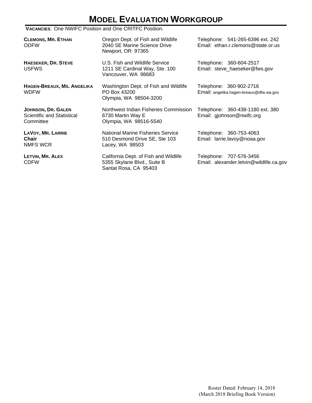# **MODEL EVALUATION WORKGROUP**

#### **VACANCIES**: One NWIFC Position and One CRITFC Position.

| <b>CLEMONS, MR. ETHAN</b><br><b>ODFW</b>                      | Oregon Dept. of Fish and Wildlife<br>2040 SE Marine Science Drive<br>Newport, OR 97365        | Telephone: 541-265-6396 ext. 242<br>Email: ethan.r.clemons@state.or.us |
|---------------------------------------------------------------|-----------------------------------------------------------------------------------------------|------------------------------------------------------------------------|
| <b>HAESEKER, DR. STEVE</b><br><b>USFWS</b>                    | U.S. Fish and Wildlife Service<br>1211 SE Cardinal Way, Ste. 100<br>Vancouver, WA 98683       | Telephone: 360-604-2517<br>Email: steve_haeseker@fws.gov               |
| HAGEN-BREAUX, MS. ANGELIKA<br><b>WDFW</b>                     | Washington Dept. of Fish and Wildlife<br>PO Box 43200<br>Olympia, WA 98504-3200               | Telephone: 360-902-2716<br>Email: angelika.hagen-breaux@dfw.wa.gov     |
| JOHNSON, DR. GALEN<br>Scientific and Statistical<br>Committee | Northwest Indian Fisheries Commission<br>6730 Martin Way E<br>Olympia, WA 98516-5540          | Telephone: 360-438-1180 ext. 380<br>Email: gjohnson@nwifc.org          |
| <b>LAVOY, MR. LARRIE</b><br>Chair<br>NMFS WCR                 | National Marine Fisheries Service<br>510 Desmond Drive SE, Ste 103<br>Lacey, WA 98503         | Telephone: 360-753-4063<br>Email: larrie.lavoy@noaa.gov                |
| LETVIN, MR. ALEX<br><b>CDFW</b>                               | California Dept. of Fish and Wildlife<br>5355 Skylane Blvd., Suite B<br>Santat Rosa, CA 95403 | Telephone: 707-576-3456<br>Email: alexander.letvin@wildlife.ca.gov     |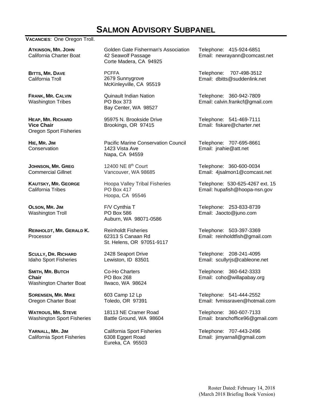## **SALMON ADVISORY SUBPANEL**

#### **VACANCIES**: One Oregon Troll.

**ATKINSON, MR. JOHN** California Charter Boat

**BITTS, MR. DAVE** California Troll

**FRANK, MR. CALVIN** Washington Tribes

**HEAP, MR. RICHARD Vice Chair**  Oregon Sport Fisheries

**HIE, MR. JIM Conservation** 

**JOHNSON, MR. GREG**  Commercial Gillnet

**KAUTSKY, MR. GEORGE** California Tribes

**OLSON, MR. JIM** Washington Troll

**REINHOLDT, MR. GERALD K.**  Processor

**SCULLY, DR. RICHARD** Idaho Sport Fisheries

**SMITH, MR. BUTCH Chair**  Washington Charter Boat

**SORENSEN, MR. MIKE** Oregon Charter Boat

**WATROUS, MR. STEVE** Washington Sport Fisheries

**YARNALL, MR. JIM** California Sport Fisheries Golden Gate Fisherman's Association 42 Seawolf Passage Corte Madera, CA 94925

PCFFA 2679 Sunnygrove McKinleyville, CA 95519

Quinault Indian Nation PO Box 373 Bay Center, WA 98527

95975 N. Brookside Drive Brookings, OR 97415

Pacific Marine Conservation Council 1423 Vista Ave Napa, CA 94559

12400 NE 8th Court Vancouver, WA 98685

Hoopa Valley Tribal Fisheries PO Box 417 Hoopa, CA 95546

F/V Cynthia T PO Box 586 Auburn, WA 98071-0586

Reinholdt Fisheries 62313 S Canaan Rd St. Helens, OR 97051-9117

2428 Seaport Drive Lewiston, ID 83501

Co-Ho Charters PO Box 268 Ilwaco, WA 98624

603 Camp 12 Lp Toledo, OR 97391

18113 NE Cramer Road Battle Ground, WA 98604

California Sport Fisheries 6308 Eggert Road Eureka, CA 95503

Telephone: 415-924-6851 Email: newrayann@comcast.net

Telephone: 707-498-3512 Email: dbitts@suddenlink.net

Telephone: 360-942-7809 Email: calvin.frankcf@gmail.com

Telephone: 541-469-7111 Email: fiskare@charter.net

Telephone: 707-695-8661 Email: jnahie@att.net

Telephone: 360-600-0034 Email: 4jsalmon1@comcast.net

Telephone: 530-625-4267 ext. 15 Email: hupafish@hoopa-nsn.gov

Telephone: 253-833-8739 Email: Jaocto@juno.com

Telephone: 503-397-3369 Email: reinholdtfish@gmail.com

Telephone: 208-241-4095 Email: scullyrjs@cableone.net

Telephone: 360-642-3333 Email: coho@willapabay.org

Telephone: 541-444-2552 Email: fvmissraven@hotmail.com

Telephone: 360-607-7133 Email: branchoffice96@gmail.com

Telephone: 707-443-2496 Email: jimyarnall@gmail.com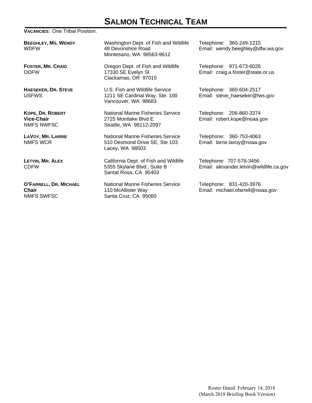## **SALMON TECHNICAL TEAM**

#### **VACANCIES**: One Tribal Position.

**BEEGHLEY, MS. WENDY** WDFW

**FOSTER, MR. CRAIG** ODFW

**HAESEKER, DR. STEVE** USFWS

**KOPE, DR. ROBERT Vice-Chair** NMFS NWFSC

**LAVOY, MR. LARRIE** NMFS WCR

**LETVIN, MR. ALEX** CDFW

**O'FARRELL, DR. MICHAEL Chair**  NMFS SWFSC

Washington Dept. of Fish and Wildlife 48 Devonshire Road Montesano, WA 98563-9612

Oregon Dept. of Fish and Wildlife 17330 SE Evelyn St Clackamas, OR 97015

U.S. Fish and Wildlife Service 1211 SE Cardinal Way, Ste. 100 Vancouver, WA 98683

National Marine Fisheries Service 2725 Montlake Blvd E Seattle, WA 98112-2097

National Marine Fisheries Service 510 Desmond Drive SE, Ste 103 Lacey, WA 98503

California Dept. of Fish and Wildlife 5355 Skylane Blvd., Suite B Santat Rosa, CA 95403

National Marine Fisheries Service 110 McAllister Way Santa Cruz, CA 95060

Telephone: 360-249-1215 Email: wendy.beeghley@dfw.wa.gov

Telephone: 971-673-6026 Email: craig.a.foster@state.or.us

Telephone: 360-604-2517 Email: steve\_haeseker@fws.gov

Telephone: 206-860-3374 Email: robert.kope@noaa.gov

Telephone: 360-753-4063 Email: larrie.lavoy@noaa.gov

Telephone: 707-576-3456 Email: alexander.letvin@wildlife.ca.gov

Telephone: 831-420-3976 Email: michael.ofarrell@noaa.gov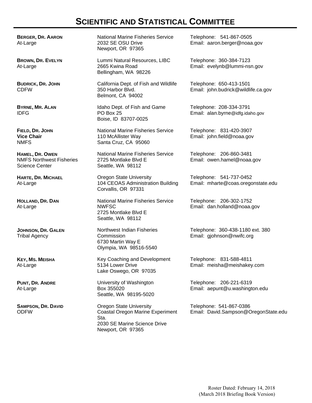## **SCIENTIFIC AND STATISTICAL COMMITTEE**

**BERGER, DR. AARON** At-Large

**BROWN, DR. EVELYN** At-Large

**BUDRICK, DR. JOHN** CDFW

**BYRNE, MR. ALAN** IDFG

**FIELD, DR. JOHN Vice Chair**  NMFS

**HAMEL, DR. OWEN** NMFS Northwest Fisheries Science Center

**HARTE, DR. MICHAEL** At-Large

**HOLLAND, DR. DAN** At-Large

**JOHNSON, DR. GALEN** Tribal Agency

**KEY, MS. MEISHA** At-Large

**PUNT, DR. ANDRE** At-Large

**SAMPSON, DR. DAVID** ODFW

National Marine Fisheries Service 2032 SE OSU Drive Newport, OR 97365

Lummi Natural Resources, LIBC 2665 Kwina Road Bellingham, WA 98226

California Dept. of Fish and Wildlife 350 Harbor Blvd. Belmont, CA 94002

Idaho Dept. of Fish and Game PO Box 25 Boise, ID 83707-0025

National Marine Fisheries Service 110 McAllister Way Santa Cruz, CA 95060

National Marine Fisheries Service 2725 Montlake Blvd E Seattle, WA 98112

Oregon State University 104 CEOAS Administration Building Corvallis, OR 97331

National Marine Fisheries Service NWFSC 2725 Montlake Blvd E Seattle, WA 98112

Northwest Indian Fisheries **Commission** 6730 Martin Way E Olympia, WA 98516-5540

Key Coaching and Development 5134 Lower Drive Lake Oswego, OR 97035

University of Washington Box 355020 Seattle, WA 98195-5020

Oregon State University Coastal Oregon Marine Experiment Sta. 2030 SE Marine Science Drive Newport, OR 97365

Telephone: 541-867-0505 Email: aaron.berger@noaa.gov

Telephone: 360-384-7123 Email: evelynb@lummi-nsn.gov

Telephone: 650-413-1501 Email: john.budrick@wildlife.ca.gov

Telephone: 208-334-3791 Email: alan.byrne@idfg.idaho.gov

Telephone: 831-420-3907 Email: john.field@noaa.gov

Telephone: 206-860-3481 Email: owen.hamel@noaa.gov

Telephone: 541-737-0452 Email: mharte@coas.oregonstate.edu

Telephone: 206-302-1752 Email: dan.holland@noaa.gov

Telephone: 360-438-1180 ext. 380 Email: gjohnson@nwifc.org

Telephone: 831-588-4811 Email: meisha@meishakey.com

Telephone: 206-221-6319 Email: aepunt@u.washington.edu

Telephone: 541-867-0386 Email: David.Sampson@OregonState.edu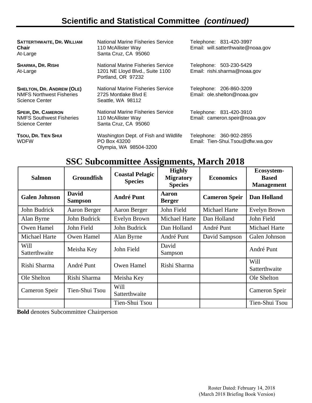# **Scientific and Statistical Committee** *(continued)*

**SATTERTHWAITE, DR. WILLIAM Chair**  At-Large

**SHARMA, DR. RISHI**  At-Large

**SHELTON, DR. ANDREW (OLE)** NMFS Northwest Fisheries Science Center

**SPEIR, DR. CAMERON** NMFS Southwest Fisheries Science Center

**TSOU, DR. TIEN SHUI** WDFW

National Marine Fisheries Service 110 McAllister Way Santa Cruz, CA 95060

National Marine Fisheries Service 1201 NE Lloyd Blvd., Suite 1100 Portland, OR 97232

National Marine Fisheries Service 2725 Montlake Blvd E Seattle, WA 98112

National Marine Fisheries Service 110 McAllister Way Santa Cruz, CA 95060

Washington Dept. of Fish and Wildlife PO Box 43200 Olympia, WA 98504-3200

Telephone: 831-420-3997 Email: will.satterthwaite@noaa.gov

Telephone: 503-230-5429 Email: rishi.sharma@noaa.gov

Telephone: 206-860-3209 Email: ole.shelton@noaa.gov

Telephone: 831-420-3910 Email: cameron.speir@noaa.gov

Telephone: 360-902-2855 Email: Tien-Shui.Tsou@dfw.wa.gov

## **SSC Subcommittee Assignments, March 2018**

| <b>Salmon</b>         | <b>Groundfish</b>              | <b>Coastal Pelagic</b><br><b>Species</b> | <b>Highly</b><br><b>Migratory</b><br><b>Species</b> | <b>Economics</b>     | Ecosystem-<br><b>Based</b><br><b>Management</b> |
|-----------------------|--------------------------------|------------------------------------------|-----------------------------------------------------|----------------------|-------------------------------------------------|
| <b>Galen Johnson</b>  | <b>David</b><br><b>Sampson</b> | <b>André Punt</b>                        | Aaron<br><b>Berger</b>                              | <b>Cameron Speir</b> | <b>Dan Holland</b>                              |
| John Budrick          | Aaron Berger                   | Aaron Berger                             | John Field                                          | <b>Michael Harte</b> | Evelyn Brown                                    |
| Alan Byrne            | John Budrick                   | Evelyn Brown                             | <b>Michael Harte</b>                                | Dan Holland          | John Field                                      |
| Owen Hamel            | John Field                     | John Budrick                             | Dan Holland                                         | André Punt           | <b>Michael Harte</b>                            |
| <b>Michael Harte</b>  | Owen Hamel                     | Alan Byrne                               | André Punt                                          | David Sampson        | Galen Johnson                                   |
| Will<br>Satterthwaite | Meisha Key                     | John Field                               | David<br>Sampson                                    |                      | André Punt                                      |
| Rishi Sharma          | André Punt                     | Owen Hamel                               | Rishi Sharma                                        |                      | Will<br>Satterthwaite                           |
| Ole Shelton           | Rishi Sharma                   | Meisha Key                               |                                                     |                      | Ole Shelton                                     |
| Cameron Speir         | Tien-Shui Tsou                 | Will<br>Satterthwaite                    |                                                     |                      | Cameron Speir                                   |
|                       |                                | Tien-Shui Tsou                           |                                                     |                      | Tien-Shui Tsou                                  |

**Bold** denotes Subcommittee Chairperson